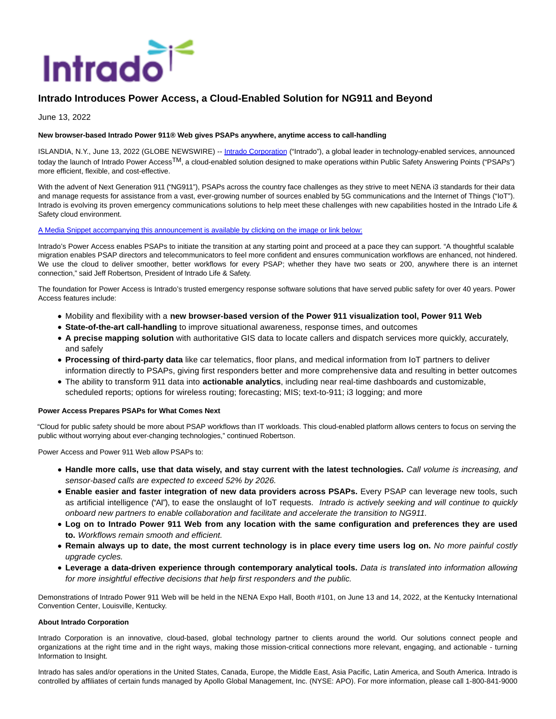

# **Intrado Introduces Power Access, a Cloud-Enabled Solution for NG911 and Beyond**

June 13, 2022

### **New browser-based Intrado Power 911® Web gives PSAPs anywhere, anytime access to call-handling**

ISLANDIA, N.Y., June 13, 2022 (GLOBE NEWSWIRE) -- [Intrado Corporation \(](https://www.globenewswire.com/Tracker?data=qupfO00ReV7Xx3bVhdpv_cugu9ZrmLj8TOp_Y40Qhe4eiDsKAFA9inmM68MJ0o8ZhghAEyKXeu8F-fuDw5ak1Q==)"Intrado"), a global leader in technology-enabled services, announced today the launch of Intrado Power Access<sup>TM</sup>, a cloud-enabled solution designed to make operations within Public Safety Answering Points ("PSAPs") more efficient, flexible, and cost-effective.

With the advent of Next Generation 911 ("NG911"), PSAPs across the country face challenges as they strive to meet NENA i3 standards for their data and manage requests for assistance from a vast, ever-growing number of sources enabled by 5G communications and the Internet of Things ("IoT"). Intrado is evolving its proven emergency communications solutions to help meet these challenges with new capabilities hosted in the Intrado Life & Safety cloud environment.

#### [A Media Snippet accompanying this announcement is available by clicking on the image or link below:](https://www.globenewswire.com/Tracker?data=3CN6tAaE0p0gQsPYoxLoIrEQw-8B8BuH1Q2hzR4_AeZZGV6phUdmcTBDfhzQWqJd64aEw7SstZ018cSLtHo5PnGAD9gMNKRqymqvQqMZCzDG0-k_lp8KAAYUc_hcwHR25-S9ZUJhlCmVFCATNWcLJccetmohRonS-snofGNbXQZRtcsoLGz1bNBoUZMEOKWgSCNwBz6DJdgbluVwOvAMKHkOGHzaw16zDc-BOBDIyHk=)

Intrado's Power Access enables PSAPs to initiate the transition at any starting point and proceed at a pace they can support. "A thoughtful scalable migration enables PSAP directors and telecommunicators to feel more confident and ensures communication workflows are enhanced, not hindered. We use the cloud to deliver smoother, better workflows for every PSAP; whether they have two seats or 200, anywhere there is an internet connection," said Jeff Robertson, President of Intrado Life & Safety.

The foundation for Power Access is Intrado's trusted emergency response software solutions that have served public safety for over 40 years. Power Access features include:

- Mobility and flexibility with a **new browser-based version of the Power 911 visualization tool, Power 911 Web**
- **State-of-the-art call-handling** to improve situational awareness, response times, and outcomes
- **A precise mapping solution** with authoritative GIS data to locate callers and dispatch services more quickly, accurately, and safely
- **Processing of third-party data** like car telematics, floor plans, and medical information from IoT partners to deliver information directly to PSAPs, giving first responders better and more comprehensive data and resulting in better outcomes
- The ability to transform 911 data into **actionable analytics**, including near real-time dashboards and customizable,
- scheduled reports; options for wireless routing; forecasting; MIS; text-to-911; i3 logging; and more

### **Power Access Prepares PSAPs for What Comes Next**

"Cloud for public safety should be more about PSAP workflows than IT workloads. This cloud-enabled platform allows centers to focus on serving the public without worrying about ever-changing technologies," continued Robertson.

Power Access and Power 911 Web allow PSAPs to:

- **Handle more calls, use that data wisely, and stay current with the latest technologies.** Call volume is increasing, and sensor-based calls are expected to exceed 52% by 2026.
- **Enable easier and faster integration of new data providers across PSAPs.** Every PSAP can leverage new tools, such as artificial intelligence ("AI"), to ease the onslaught of IoT requests. Intrado is actively seeking and will continue to quickly onboard new partners to enable collaboration and facilitate and accelerate the transition to NG911.
- **Log on to Intrado Power 911 Web from any location with the same configuration and preferences they are used to.** Workflows remain smooth and efficient.
- **Remain always up to date, the most current technology is in place every time users log on.** No more painful costly upgrade cycles.
- **Leverage a data-driven experience through contemporary analytical tools.** Data is translated into information allowing for more insightful effective decisions that help first responders and the public.

Demonstrations of Intrado Power 911 Web will be held in the NENA Expo Hall, Booth #101, on June 13 and 14, 2022, at the Kentucky International Convention Center, Louisville, Kentucky.

#### **About Intrado Corporation**

Intrado Corporation is an innovative, cloud-based, global technology partner to clients around the world. Our solutions connect people and organizations at the right time and in the right ways, making those mission-critical connections more relevant, engaging, and actionable - turning Information to Insight.

Intrado has sales and/or operations in the United States, Canada, Europe, the Middle East, Asia Pacific, Latin America, and South America. Intrado is controlled by affiliates of certain funds managed by Apollo Global Management, Inc. (NYSE: APO). For more information, please call 1-800-841-9000